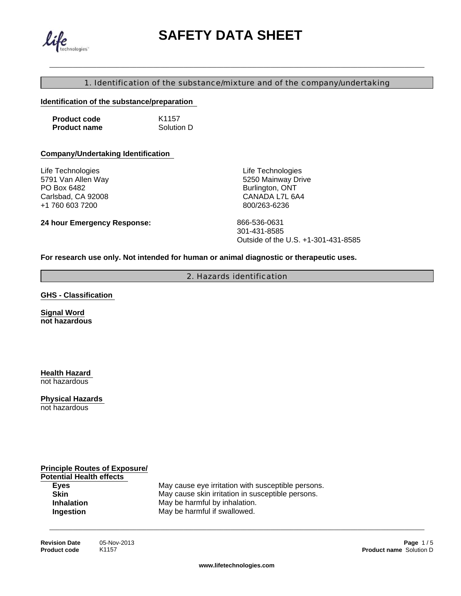

# \_\_\_\_\_\_\_\_\_\_\_\_\_\_\_\_\_\_\_\_\_\_\_\_\_\_\_\_\_\_\_\_\_\_\_\_\_\_\_\_\_\_\_\_\_\_\_\_\_\_\_\_\_\_\_\_\_\_\_\_\_\_\_\_\_\_\_\_\_\_\_\_\_\_\_\_\_\_\_\_\_\_\_\_\_\_\_\_\_\_\_\_\_\_\_\_\_\_\_\_\_\_\_\_\_\_\_\_\_\_\_\_ **SAFETY DATA SHEET**

#### 1. Identification of the substance/mixture and of the company/undertaking

#### **Identification of the substance/preparation**

| <b>Product code</b> | K <sub>1157</sub> |
|---------------------|-------------------|
| <b>Product name</b> | Solution D        |

#### **Company/Undertaking Identification**

**24 hour Emergency Response:**

Life Technologies 5791 Van Allen Way PO Box 6482 Carlsbad, CA 92008 +1 760 603 7200

Life Technologies 5250 Mainway Drive Burlington, ONT CANADA L7L 6A4 800/263-6236

866-536-0631 301-431-8585 Outside of the U.S. +1-301-431-8585

#### **For research use only. Not intended for human or animal diagnostic or therapeutic uses.**

2. Hazards identification

**GHS - Classification** 

**Signal Word not hazardous**

**Health Hazard**  not hazardous

**Physical Hazards** 

not hazardous

**Principle Routes of Exposure/ Potential Health effects** 

**Eyes** May cause eye irritation with susceptible persons.<br> **Skin** May cause skin irritation in susceptible persons. May cause skin irritation in susceptible persons. **Inhalation** May be harmful by inhalation. **Ingestion** May be harmful if swallowed.

\_\_\_\_\_\_\_\_\_\_\_\_\_\_\_\_\_\_\_\_\_\_\_\_\_\_\_\_\_\_\_\_\_\_\_\_\_\_\_\_\_\_\_\_\_\_\_\_\_\_\_\_\_\_\_\_\_\_\_\_\_\_\_\_\_\_\_\_\_\_\_\_\_\_\_\_\_\_\_\_\_\_\_\_\_\_\_\_\_\_\_\_\_\_\_\_\_\_\_\_\_\_\_\_\_\_\_\_\_\_\_\_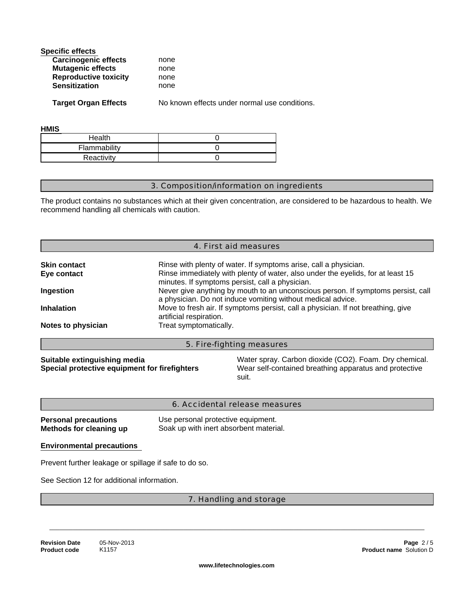| none |  |
|------|--|
| none |  |
| none |  |
| none |  |
|      |  |

**Target Organ Effects**

No known effects under normal use conditions.

| HMIS |  |  |
|------|--|--|
|      |  |  |

| Health       |  |
|--------------|--|
| Flammability |  |
| Reactivity   |  |

#### 3. Composition/information on ingredients

The product contains no substances which at their given concentration, are considered to be hazardous to health. We recommend handling all chemicals with caution.

|                                                                               |                                                                                                                                       | 4. First aid measures                                                                                                                           |  |  |
|-------------------------------------------------------------------------------|---------------------------------------------------------------------------------------------------------------------------------------|-------------------------------------------------------------------------------------------------------------------------------------------------|--|--|
| <b>Skin contact</b>                                                           |                                                                                                                                       | Rinse with plenty of water. If symptoms arise, call a physician.                                                                                |  |  |
| Eye contact                                                                   |                                                                                                                                       | Rinse immediately with plenty of water, also under the eyelids, for at least 15<br>minutes. If symptoms persist, call a physician.              |  |  |
| Ingestion                                                                     |                                                                                                                                       | Never give anything by mouth to an unconscious person. If symptoms persist, call<br>a physician. Do not induce vomiting without medical advice. |  |  |
| <b>Inhalation</b>                                                             | Move to fresh air. If symptoms persist, call a physician. If not breathing, give<br>artificial respiration.<br>Treat symptomatically. |                                                                                                                                                 |  |  |
| Notes to physician                                                            |                                                                                                                                       |                                                                                                                                                 |  |  |
|                                                                               |                                                                                                                                       | 5. Fire-fighting measures                                                                                                                       |  |  |
| Suitable extinguishing media<br>Special protective equipment for firefighters |                                                                                                                                       | Water spray. Carbon dioxide (CO2). Foam. Dry chemical.<br>Wear self-contained breathing apparatus and protective<br>suit.                       |  |  |

|                             | 6. Accidental release measures         |
|-----------------------------|----------------------------------------|
| <b>Personal precautions</b> | Use personal protective equipment.     |
| Methods for cleaning up     | Soak up with inert absorbent material. |

#### **Environmental precautions**

Prevent further leakage or spillage if safe to do so.

See Section 12 for additional information.

#### 7. Handling and storage

\_\_\_\_\_\_\_\_\_\_\_\_\_\_\_\_\_\_\_\_\_\_\_\_\_\_\_\_\_\_\_\_\_\_\_\_\_\_\_\_\_\_\_\_\_\_\_\_\_\_\_\_\_\_\_\_\_\_\_\_\_\_\_\_\_\_\_\_\_\_\_\_\_\_\_\_\_\_\_\_\_\_\_\_\_\_\_\_\_\_\_\_\_\_\_\_\_\_\_\_\_\_\_\_\_\_\_\_\_\_\_\_

K1157 **Revision Date Product code**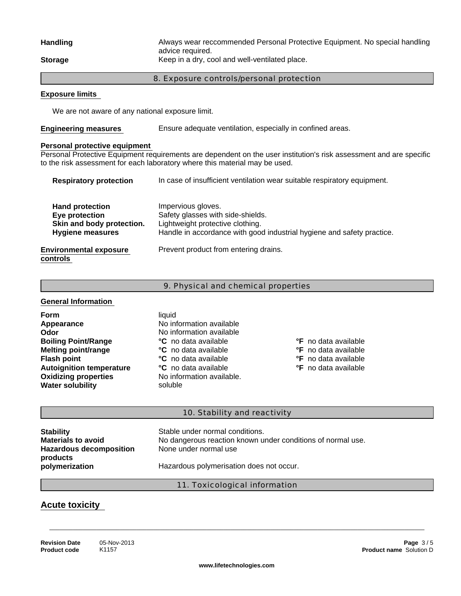#### **Storage** Keep in a dry, cool and well-ventilated place. **Handling** Always wear reccommended Personal Protective Equipment. No special handling advice required.

#### 8. Exposure controls/personal protection

#### **Exposure limits**

We are not aware of any national exposure limit.

**Engineering measures**  Ensure adequate ventilation, especially in confined areas.

#### **Personal protective equipment**

Personal Protective Equipment requirements are dependent on the user institution's risk assessment and are specific to the risk assessment for each laboratory where this material may be used.

| <b>Respiratory protection</b>                                                                    | In case of insufficient ventilation wear suitable respiratory equipment.                                                                                              |
|--------------------------------------------------------------------------------------------------|-----------------------------------------------------------------------------------------------------------------------------------------------------------------------|
| <b>Hand protection</b><br>Eye protection<br>Skin and body protection.<br><b>Hygiene measures</b> | Impervious gloves.<br>Safety glasses with side-shields.<br>Lightweight protective clothing.<br>Handle in accordance with good industrial hygiene and safety practice. |
| <b>Environmental exposure</b><br>controls                                                        | Prevent product from entering drains.                                                                                                                                 |

#### 9. Physical and chemical properties

#### **General Information**

**Oxidizing properties** No information available. **Water solubility soluble Form** liquid liquid **liquid Appearance Odor Melting point/range Autoignition temperature Boiling Point/Range Flash point**

## No information available No information available **°C** no data available **°C** no data available **°C** no data available **°C** no data available

**°F** no data available **°F** no data available **°F** no data available

**°F** no data available

#### 10. Stability and reactivity

| <b>Stability</b><br><b>Materials to avoid</b><br><b>Hazardous decomposition</b><br>products | Stable under normal conditions.<br>No dangerous reaction known under conditions of normal use.<br>None under normal use |
|---------------------------------------------------------------------------------------------|-------------------------------------------------------------------------------------------------------------------------|
| polymerization                                                                              | Hazardous polymerisation does not occur.                                                                                |

#### 11. Toxicological information

\_\_\_\_\_\_\_\_\_\_\_\_\_\_\_\_\_\_\_\_\_\_\_\_\_\_\_\_\_\_\_\_\_\_\_\_\_\_\_\_\_\_\_\_\_\_\_\_\_\_\_\_\_\_\_\_\_\_\_\_\_\_\_\_\_\_\_\_\_\_\_\_\_\_\_\_\_\_\_\_\_\_\_\_\_\_\_\_\_\_\_\_\_\_\_\_\_\_\_\_\_\_\_\_\_\_\_\_\_\_\_\_

### **Acute toxicity**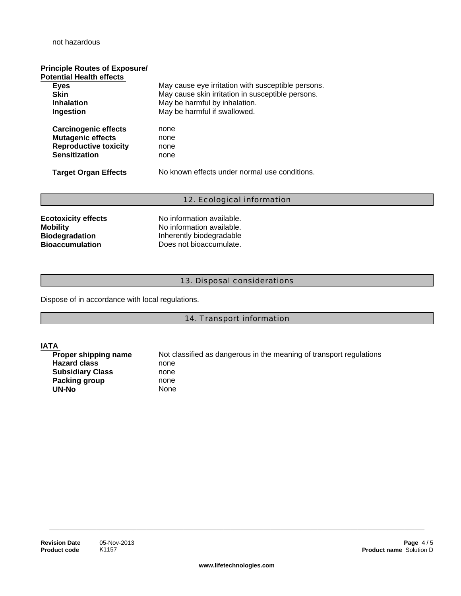#### not hazardous

# **Principle Routes of Exposure/**

| <b>Potential Health effects</b> |                                                    |
|---------------------------------|----------------------------------------------------|
| <b>Eyes</b>                     | May cause eye irritation with susceptible persons. |
| Skin                            | May cause skin irritation in susceptible persons.  |
| <b>Inhalation</b>               | May be harmful by inhalation.                      |
| Ingestion                       | May be harmful if swallowed.                       |
| <b>Carcinogenic effects</b>     | none                                               |
| <b>Mutagenic effects</b>        | none                                               |
| <b>Reproductive toxicity</b>    | none                                               |
| <b>Sensitization</b>            | none                                               |
| <b>Target Organ Effects</b>     | No known effects under normal use conditions.      |
|                                 |                                                    |

#### 12. Ecological information

| <b>Ecotoxicity effects</b> | No information available. |
|----------------------------|---------------------------|
| <b>Mobility</b>            | No information available. |
| <b>Biodegradation</b>      | Inherently biodegradable  |
| <b>Bioaccumulation</b>     | Does not bioaccumulate.   |

#### 13. Disposal considerations

Dispose of in accordance with local regulations.

14. Transport information

**IATA**<br>**Proper shipping name Hazard class** none **Subsidiary Class** none **Packing group** none UN-No<sup>ot</sup> None

Not classified as dangerous in the meaning of transport regulations

\_\_\_\_\_\_\_\_\_\_\_\_\_\_\_\_\_\_\_\_\_\_\_\_\_\_\_\_\_\_\_\_\_\_\_\_\_\_\_\_\_\_\_\_\_\_\_\_\_\_\_\_\_\_\_\_\_\_\_\_\_\_\_\_\_\_\_\_\_\_\_\_\_\_\_\_\_\_\_\_\_\_\_\_\_\_\_\_\_\_\_\_\_\_\_\_\_\_\_\_\_\_\_\_\_\_\_\_\_\_\_\_